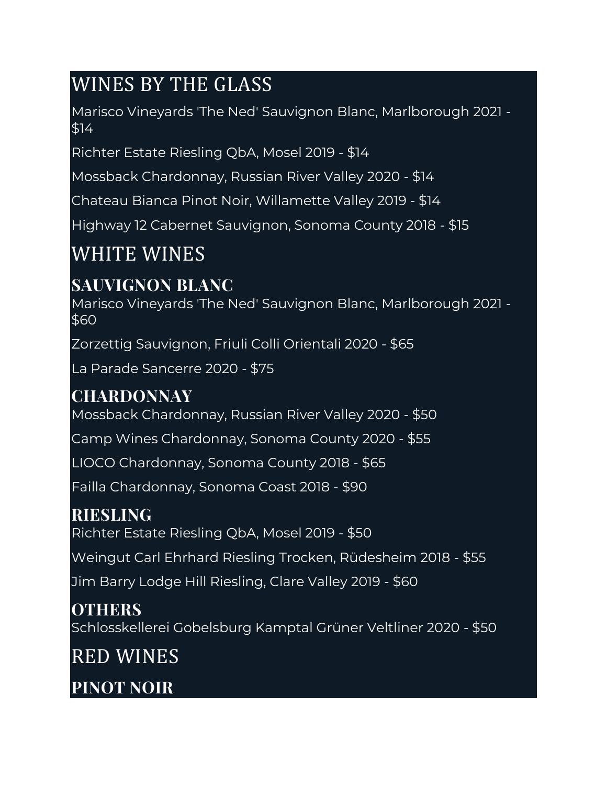# WINES BY THE GLASS

Marisco Vineyards 'The Ned' Sauvignon Blanc, Marlborough 2021 - \$14

Richter Estate Riesling QbA, Mosel 2019 - \$14

Mossback Chardonnay, Russian River Valley 2020 - \$14

Chateau Bianca Pinot Noir, Willamette Valley 2019 - \$14

Highway 12 Cabernet Sauvignon, Sonoma County 2018 - \$15

## WHITE WINES

### **SAUVIGNON BLANC**

Marisco Vineyards 'The Ned' Sauvignon Blanc, Marlborough 2021 - \$60

Zorzettig Sauvignon, Friuli Colli Orientali 2020 - \$65

La Parade Sancerre 2020 - \$75

### **CHARDONNAY**

Mossback Chardonnay, Russian River Valley 2020 - \$50

Camp Wines Chardonnay, Sonoma County 2020 - \$55

LIOCO Chardonnay, Sonoma County 2018 - \$65

Failla Chardonnay, Sonoma Coast 2018 - \$90

#### **RIESLING**

Richter Estate Riesling QbA, Mosel 2019 - \$50

Weingut Carl Ehrhard Riesling Trocken, Rüdesheim 2018 - \$55

Jim Barry Lodge Hill Riesling, Clare Valley 2019 - \$60

#### **OTHERS**

Schlosskellerei Gobelsburg Kamptal Grüner Veltliner 2020 - \$50

RED WINES

**PINOT NOIR**